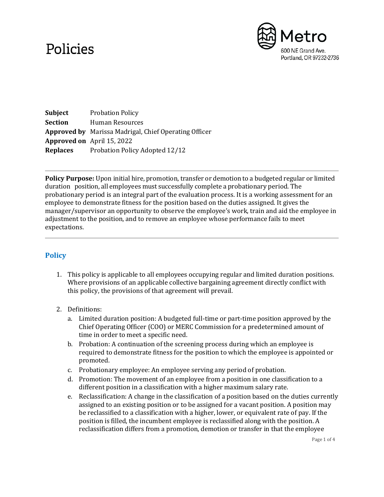## Policies



**Subject** Probation Policy **Section** Human Resources **Approved by** Marissa Madrigal, Chief Operating Officer **Approved on** April 15, 2022 **Replaces** Probation Policy Adopted 12/12

**Policy Purpose:** Upon initial hire, promotion, transfer or demotion to a budgeted regular or limited duration position, all employees must successfully complete a probationary period. The probationary period is an integral part of the evaluation process. It is a working assessment for an employee to demonstrate fitness for the position based on the duties assigned. It gives the manager/supervisor an opportunity to observe the employee's work, train and aid the employee in adjustment to the position, and to remove an employee whose performance fails to meet expectations.

## **Policy**

1. This policy is applicable to all employees occupying regular and limited duration positions. Where provisions of an applicable collective bargaining agreement directly conflict with this policy, the provisions of that agreement will prevail.

## 2. Definitions:

- a. Limited duration position: A budgeted full-time or part-time position approved by the Chief Operating Officer (COO) or MERC Commission for a predetermined amount of time in order to meet a specific need.
- b. Probation: A continuation of the screening process during which an employee is required to demonstrate fitness for the position to which the employee is appointed or promoted.
- c. Probationary employee: An employee serving any period of probation.
- d. Promotion: The movement of an employee from a position in one classification to a different position in a classification with a higher maximum salary rate.
- e. Reclassification: A change in the classification of a position based on the duties currently assigned to an existing position or to be assigned for a vacant position. A position may be reclassified to a classification with a higher, lower, or equivalent rate of pay. If the position is filled, the incumbent employee is reclassified along with the position. A reclassification differs from a promotion, demotion or transfer in that the employee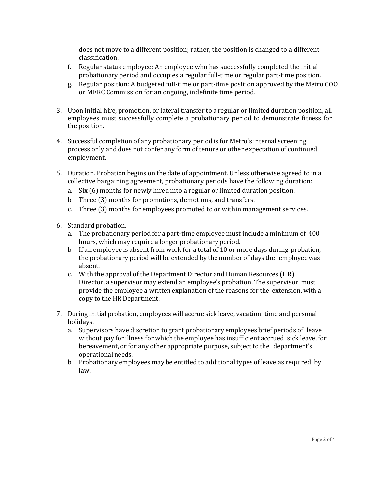does not move to a different position; rather, the position is changed to a different classification.

- f. Regular status employee: An employee who has successfully completed the initial probationary period and occupies a regular full-time or regular part-time position.
- g. Regular position: A budgeted full-time or part-time position approved by the Metro COO or MERC Commission for an ongoing, indefinite time period.
- 3. Upon initial hire, promotion, or lateral transfer to a regular or limited duration position, all employees must successfully complete a probationary period to demonstrate fitness for the position.
- 4. Successful completion of any probationary period is for Metro's internal screening process only and does not confer any form of tenure or other expectation of continued employment.
- 5. Duration. Probation begins on the date of appointment. Unless otherwise agreed to in a collective bargaining agreement, probationary periods have the following duration:
	- a. Six (6) months for newly hired into a regular or limited duration position.
	- b. Three (3) months for promotions, demotions, and transfers.
	- c. Three (3) months for employees promoted to or within management services.
- 6. Standard probation.
	- a. The probationary period for a part-time employee must include a minimum of 400 hours, which may require a longer probationary period.
	- b. If an employee is absent from work for a total of 10 or more days during probation, the probationary period will be extended by the number of days the employee was absent.
	- c. With the approval of the Department Director and Human Resources (HR) Director, a supervisor may extend an employee's probation. The supervisor must provide the employee a written explanation of the reasons for the extension, with a copy to the HR Department.
- 7. During initial probation, employees will accrue sick leave, vacation time and personal holidays.
	- a. Supervisors have discretion to grant probationary employees brief periods of leave without pay for illness for which the employee has insufficient accrued sick leave, for bereavement, or for any other appropriate purpose, subject to the department's operational needs.
	- b. Probationary employees may be entitled to additional types of leave as required by law.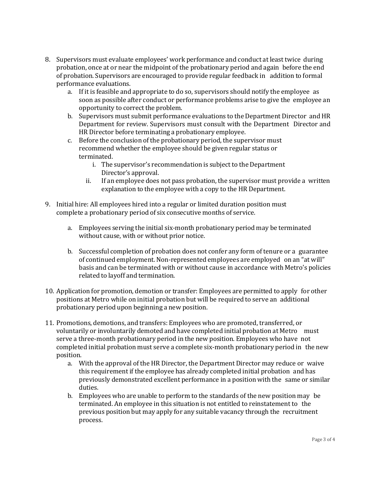- 8. Supervisors must evaluate employees' work performance and conduct at least twice during probation, once at or near the midpoint of the probationary period and again before the end of probation. Supervisors are encouraged to provide regular feedback in addition to formal performance evaluations.
	- a. If it is feasible and appropriate to do so, supervisors should notify the employee as soon as possible after conduct or performance problems arise to give the employee an opportunity to correct the problem.
	- b. Supervisors must submit performance evaluations to the Department Director and HR Department for review. Supervisors must consult with the Department Director and HR Director before terminating a probationary employee.
	- c. Before the conclusion of the probationary period, the supervisor must recommend whether the employee should be given regular status or terminated.
		- i. The supervisor's recommendation is subject to the Department Director's approval.
		- ii. If an employee does not pass probation, the supervisor must provide a written explanation to the employee with a copy to the HR Department.
- 9. Initial hire: All employees hired into a regular or limited duration position must complete a probationary period of six consecutive months of service.
	- a. Employees serving the initial six-month probationary period may be terminated without cause, with or without prior notice.
	- b. Successful completion of probation does not confer any form of tenure or a guarantee of continued employment. Non-represented employees are employed on an "at will" basis and can be terminated with or without cause in accordance with Metro's policies related to layoff and termination.
- 10. Application for promotion, demotion or transfer: Employees are permitted to apply for other positions at Metro while on initial probation but will be required to serve an additional probationary period upon beginning a new position.
- 11. Promotions, demotions, and transfers: Employees who are promoted, transferred, or voluntarily or involuntarily demoted and have completed initial probation at Metro must serve a three-month probationary period in the new position. Employees who have not completed initial probation must serve a complete six-month probationary period in the new position.
	- a. With the approval of the HR Director, the Department Director may reduce or waive this requirement if the employee has already completed initial probation and has previously demonstrated excellent performance in a position with the same or similar duties.
	- b. Employees who are unable to perform to the standards of the new position may be terminated. An employee in this situation is not entitled to reinstatement to the previous position but may apply for any suitable vacancy through the recruitment process.